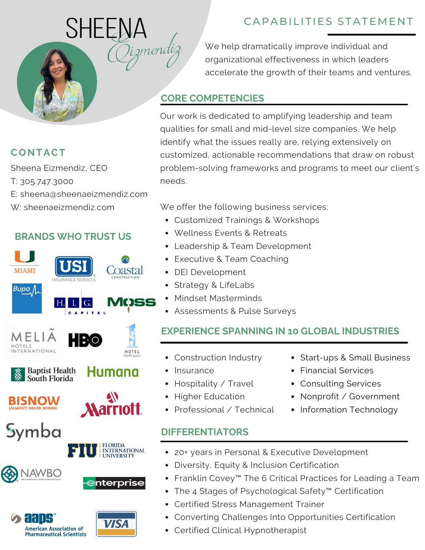

# **CONTACT**

Sheena Eizmendiz, CEO T: 305.747.3000 E: sheena@sheenaeizmendiz.com W: sheenaeizmendiz.com

### **BRANDS WHO TRUST US**



**Pharmaceutical Scientists** 

# CAPABILITIES STATEMENT

We help dramatically improve individual and organizational effectiveness in which leaders accelerate the growth of their teams and ventures.

#### **CORE COMPETENCIES**

mendi.

Our work is dedicated to amplifying leadership and team qualities for small and mid-level size companies. We help identify what the issues really are, relying extensively on customized, actionable recommendations that draw on robust problem-solving frameworks and programs to meet our client's needs.

We offer the following business services:

- Customized Trainings & Workshops
- Wellness Events & Retreats
- Leadership & Team Development
- Executive & Team Coaching
- DEI Development
- Strategy & LifeLabs
- Mindset Masterminds
- Assessments & Pulse Surveys

## **EXPERIENCE SPANNING IN 10 GLOBAL INDUSTRIES**

- Construction Industry
- Insurance
- Hospitality / Travel
- Higher Education
- Professional / Technical

## **DIFFERENTIATORS**

- Start-ups & Small Business
- Financial Services
- Consulting Services
- Nonprofit / Government
- Information Technology
- 20+ years in Personal & Executive Development
- Diversity, Equity & Inclusion Certification
- Franklin Covey™ The 6 Critical Practices for Leading a Team
- The 4 Stages of Psychological Safety™ Certification
- Certified Stress Management Trainer
- Converting Challenges Into Opportunities Certification
- Certified Clinical Hypnotherapist
- 
- 
- 
- 
-